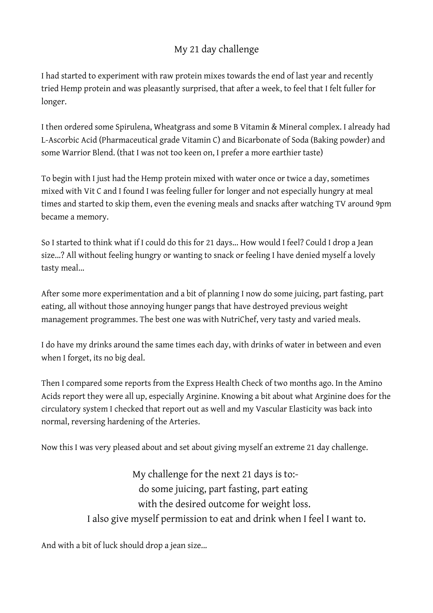## My 21 day challenge

I had started to experiment with raw protein mixes towards the end of last year and recently tried Hemp protein and was pleasantly surprised, that after a week, to feel that I felt fuller for longer.

I then ordered some Spirulena, Wheatgrass and some B Vitamin & Mineral complex. I already had L-Ascorbic Acid (Pharmaceutical grade Vitamin C) and Bicarbonate of Soda (Baking powder) and some Warrior Blend. (that I was not too keen on, I prefer a more earthier taste)

To begin with I just had the Hemp protein mixed with water once or twice a day, sometimes mixed with Vit C and I found I was feeling fuller for longer and not especially hungry at meal times and started to skip them, even the evening meals and snacks after watching TV around 9pm became a memory.

So I started to think what if I could do this for 21 days... How would I feel? Could I drop a Jean size...? All without feeling hungry or wanting to snack or feeling I have denied myself a lovely tasty meal...

After some more experimentation and a bit of planning I now do some juicing, part fasting, part eating, all without those annoying hunger pangs that have destroyed previous weight management programmes. The best one was with NutriChef, very tasty and varied meals.

I do have my drinks around the same times each day, with drinks of water in between and even when I forget, its no big deal.

Then I compared some reports from the Express Health Check of two months ago. In the Amino Acids report they were all up, especially Arginine. Knowing a bit about what Arginine does for the circulatory system I checked that report out as well and my Vascular Elasticity was back into normal, reversing hardening of the Arteries.

Now this I was very pleased about and set about giving myself an extreme 21 day challenge.

My challenge for the next 21 days is to: do some juicing, part fasting, part eating with the desired outcome for weight loss. I also give myself permission to eat and drink when I feel I want to.

And with a bit of luck should drop a jean size...